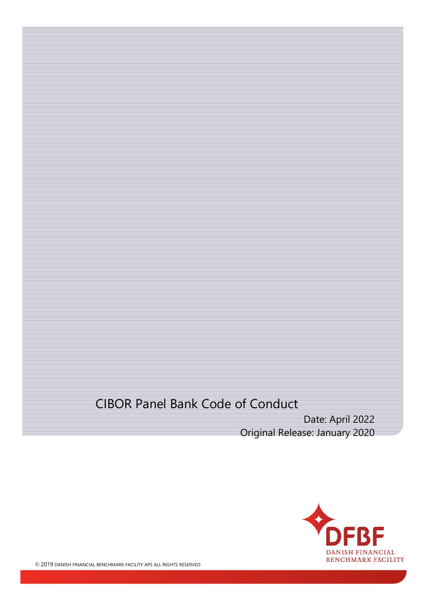# CIBOR Panel Bank Code of Conduct

Date: April 2022 Original Release: January 2020

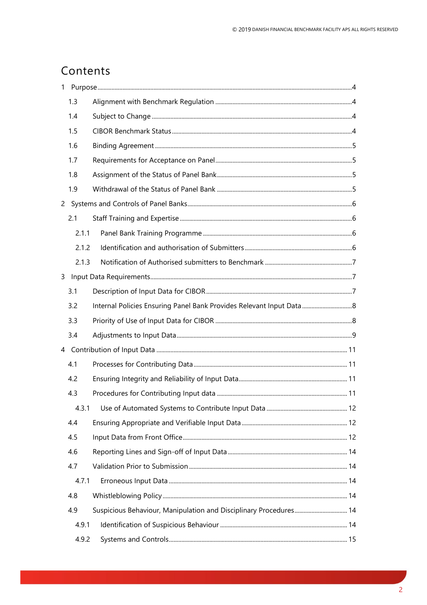# Contents

| 1 |       |                                                                      |  |  |
|---|-------|----------------------------------------------------------------------|--|--|
|   | 1.3   |                                                                      |  |  |
|   | 1.4   |                                                                      |  |  |
|   | 1.5   |                                                                      |  |  |
|   | 1.6   |                                                                      |  |  |
|   | 1.7   |                                                                      |  |  |
|   | 1.8   |                                                                      |  |  |
|   | 1.9   |                                                                      |  |  |
|   |       |                                                                      |  |  |
|   | 2.1   |                                                                      |  |  |
|   | 2.1.1 |                                                                      |  |  |
|   | 2.1.2 |                                                                      |  |  |
|   | 2.1.3 |                                                                      |  |  |
| 3 |       |                                                                      |  |  |
|   | 3.1   |                                                                      |  |  |
|   | 3.2   | Internal Policies Ensuring Panel Bank Provides Relevant Input Data 8 |  |  |
|   | 3.3   |                                                                      |  |  |
|   | 3.4   |                                                                      |  |  |
|   |       |                                                                      |  |  |
|   | 4.1   |                                                                      |  |  |
|   | 4.2   |                                                                      |  |  |
|   | 4.3   |                                                                      |  |  |
|   | 4.3.1 |                                                                      |  |  |
|   | 4.4   |                                                                      |  |  |
|   | 4.5   |                                                                      |  |  |
|   | 4.6   |                                                                      |  |  |
|   | 4.7   |                                                                      |  |  |
|   | 4.7.1 |                                                                      |  |  |
|   | 4.8   |                                                                      |  |  |
|   | 4.9   | Suspicious Behaviour, Manipulation and Disciplinary Procedures 14    |  |  |
|   | 4.9.1 |                                                                      |  |  |
|   | 4.9.2 |                                                                      |  |  |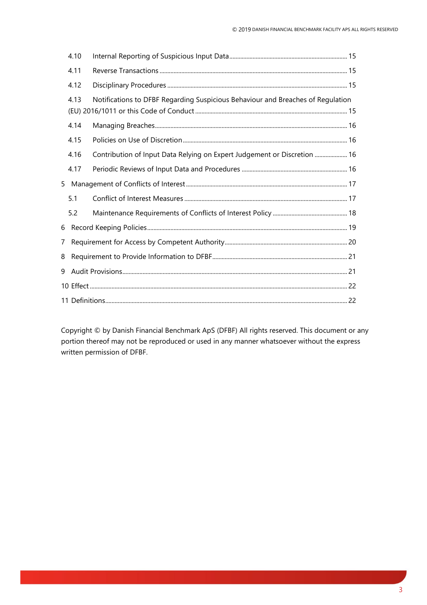|   | 4.10 |                                                                                 |  |
|---|------|---------------------------------------------------------------------------------|--|
|   | 4.11 |                                                                                 |  |
|   | 4.12 |                                                                                 |  |
|   | 4.13 | Notifications to DFBF Regarding Suspicious Behaviour and Breaches of Regulation |  |
|   | 4.14 |                                                                                 |  |
|   | 4.15 |                                                                                 |  |
|   | 4.16 | Contribution of Input Data Relying on Expert Judgement or Discretion  16        |  |
|   | 4.17 |                                                                                 |  |
|   |      |                                                                                 |  |
|   | 5.1  |                                                                                 |  |
|   | 5.2  |                                                                                 |  |
| 6 |      |                                                                                 |  |
|   |      |                                                                                 |  |
| 8 |      |                                                                                 |  |
|   |      |                                                                                 |  |
|   |      |                                                                                 |  |
|   |      |                                                                                 |  |

Copyright © by Danish Financial Benchmark ApS (DFBF) All rights reserved. This document or any portion thereof may not be reproduced or used in any manner whatsoever without the express written permission of DFBF.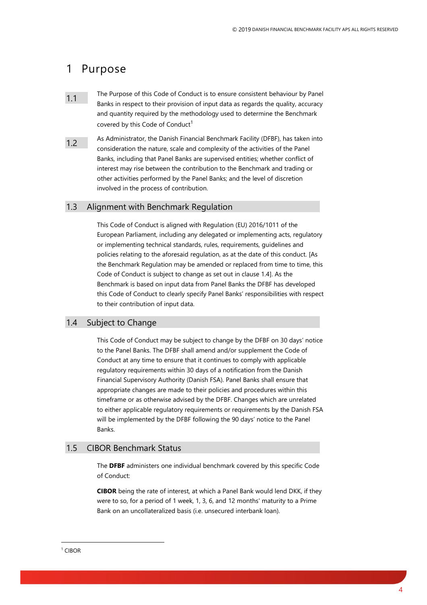## <span id="page-3-0"></span>1 Purpose

- 1.1 The Purpose of this Code of Conduct is to ensure consistent behaviour by Panel Banks in respect to their provision of input data as regards the quality, accuracy and quantity required by the methodology used to determine the Benchmark covered by this Code of Conduct<sup>1</sup>
- 1.2 As Administrator, the Danish Financial Benchmark Facility (DFBF), has taken into consideration the nature, scale and complexity of the activities of the Panel Banks, including that Panel Banks are supervised entities; whether conflict of interest may rise between the contribution to the Benchmark and trading or other activities performed by the Panel Banks; and the level of discretion involved in the process of contribution.

#### <span id="page-3-1"></span>1.3 Alignment with Benchmark Regulation

This Code of Conduct is aligned with Regulation (EU) 2016/1011 of the European Parliament, including any delegated or implementing acts, regulatory or implementing technical standards, rules, requirements, guidelines and policies relating to the aforesaid regulation, as at the date of this conduct. [As the Benchmark Regulation may be amended or replaced from time to time, this Code of Conduct is subject to change as set out in clause 1.4]. As the Benchmark is based on input data from Panel Banks the DFBF has developed this Code of Conduct to clearly specify Panel Banks' responsibilities with respect to their contribution of input data.

#### <span id="page-3-2"></span>1.4 Subject to Change

This Code of Conduct may be subject to change by the DFBF on 30 days' notice to the Panel Banks. The DFBF shall amend and/or supplement the Code of Conduct at any time to ensure that it continues to comply with applicable regulatory requirements within 30 days of a notification from the Danish Financial Supervisory Authority (Danish FSA). Panel Banks shall ensure that appropriate changes are made to their policies and procedures within this timeframe or as otherwise advised by the DFBF. Changes which are unrelated to either applicable regulatory requirements or requirements by the Danish FSA will be implemented by the DFBF following the 90 days' notice to the Panel Banks.

#### <span id="page-3-3"></span>1.5 CIBOR Benchmark Status

The **DFBF** administers one individual benchmark covered by this specific Code of Conduct:

**CIBOR** being the rate of interest, at which a Panel Bank would lend DKK, if they were to so, for a period of 1 week, 1, 3, 6, and 12 months' maturity to a Prime Bank on an uncollateralized basis (i.e. unsecured interbank loan).

#### <sup>1</sup> CIBOR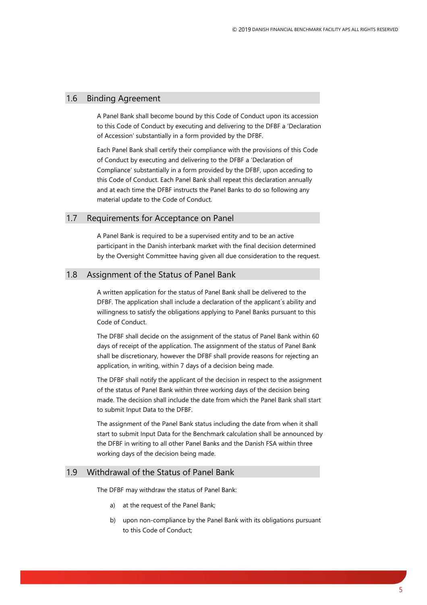## <span id="page-4-0"></span>1.6 Binding Agreement

A Panel Bank shall become bound by this Code of Conduct upon its accession to this Code of Conduct by executing and delivering to the DFBF a 'Declaration of Accession' substantially in a form provided by the DFBF.

Each Panel Bank shall certify their compliance with the provisions of this Code of Conduct by executing and delivering to the DFBF a 'Declaration of Compliance' substantially in a form provided by the DFBF, upon acceding to this Code of Conduct. Each Panel Bank shall repeat this declaration annually and at each time the DFBF instructs the Panel Banks to do so following any material update to the Code of Conduct.

### <span id="page-4-1"></span>1.7 Requirements for Acceptance on Panel

A Panel Bank is required to be a supervised entity and to be an active participant in the Danish interbank market with the final decision determined by the Oversight Committee having given all due consideration to the request.

#### <span id="page-4-2"></span>1.8 Assignment of the Status of Panel Bank

A written application for the status of Panel Bank shall be delivered to the DFBF. The application shall include a declaration of the applicant´s ability and willingness to satisfy the obligations applying to Panel Banks pursuant to this Code of Conduct.

The DFBF shall decide on the assignment of the status of Panel Bank within 60 days of receipt of the application. The assignment of the status of Panel Bank shall be discretionary, however the DFBF shall provide reasons for rejecting an application, in writing, within 7 days of a decision being made.

The DFBF shall notify the applicant of the decision in respect to the assignment of the status of Panel Bank within three working days of the decision being made. The decision shall include the date from which the Panel Bank shall start to submit Input Data to the DFBF.

The assignment of the Panel Bank status including the date from when it shall start to submit Input Data for the Benchmark calculation shall be announced by the DFBF in writing to all other Panel Banks and the Danish FSA within three working days of the decision being made.

#### <span id="page-4-3"></span>1.9 Withdrawal of the Status of Panel Bank

The DFBF may withdraw the status of Panel Bank:

- a) at the request of the Panel Bank;
- b) upon non-compliance by the Panel Bank with its obligations pursuant to this Code of Conduct;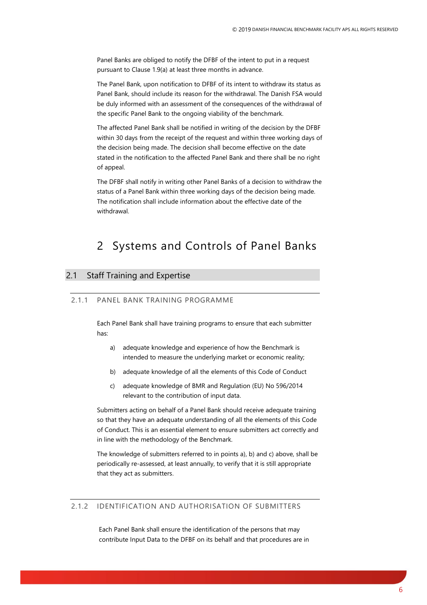Panel Banks are obliged to notify the DFBF of the intent to put in a request pursuant to Clause 1.9(a) at least three months in advance.

The Panel Bank, upon notification to DFBF of its intent to withdraw its status as Panel Bank, should include its reason for the withdrawal. The Danish FSA would be duly informed with an assessment of the consequences of the withdrawal of the specific Panel Bank to the ongoing viability of the benchmark.

The affected Panel Bank shall be notified in writing of the decision by the DFBF within 30 days from the receipt of the request and within three working days of the decision being made. The decision shall become effective on the date stated in the notification to the affected Panel Bank and there shall be no right of appeal.

The DFBF shall notify in writing other Panel Banks of a decision to withdraw the status of a Panel Bank within three working days of the decision being made. The notification shall include information about the effective date of the withdrawal.

## <span id="page-5-0"></span>2 Systems and Controls of Panel Banks

## <span id="page-5-2"></span><span id="page-5-1"></span>2.1 Staff Training and Expertise

#### 2.1.1 PANEL BANK TRAINING PROGRAMME

Each Panel Bank shall have training programs to ensure that each submitter has:

- a) adequate knowledge and experience of how the Benchmark is intended to measure the underlying market or economic reality;
- b) adequate knowledge of all the elements of this Code of Conduct
- c) adequate knowledge of BMR and Regulation (EU) No 596/2014 relevant to the contribution of input data.

Submitters acting on behalf of a Panel Bank should receive adequate training so that they have an adequate understanding of all the elements of this Code of Conduct. This is an essential element to ensure submitters act correctly and in line with the methodology of the Benchmark.

The knowledge of submitters referred to in points a), b) and c) above, shall be periodically re-assessed, at least annually, to verify that it is still appropriate that they act as submitters.

#### <span id="page-5-3"></span>2.1.2 IDENTIFICATION AND AUTHORISATION OF SUBMITTERS

Each Panel Bank shall ensure the identification of the persons that may contribute Input Data to the DFBF on its behalf and that procedures are in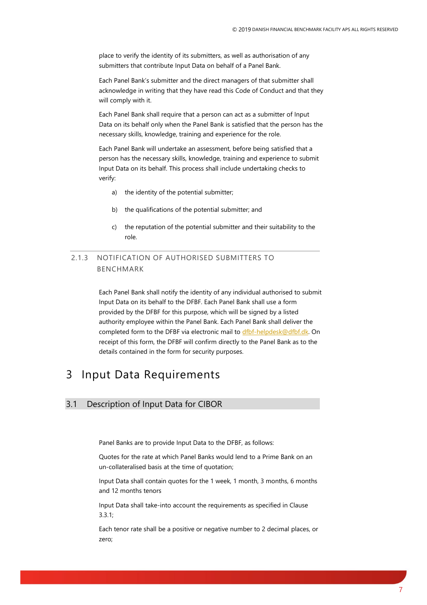place to verify the identity of its submitters, as well as authorisation of any submitters that contribute Input Data on behalf of a Panel Bank.

Each Panel Bank's submitter and the direct managers of that submitter shall acknowledge in writing that they have read this Code of Conduct and that they will comply with it.

Each Panel Bank shall require that a person can act as a submitter of Input Data on its behalf only when the Panel Bank is satisfied that the person has the necessary skills, knowledge, training and experience for the role.

Each Panel Bank will undertake an assessment, before being satisfied that a person has the necessary skills, knowledge, training and experience to submit Input Data on its behalf. This process shall include undertaking checks to verify:

- a) the identity of the potential submitter;
- b) the qualifications of the potential submitter; and
- c) the reputation of the potential submitter and their suitability to the role.

<span id="page-6-0"></span>2.1.3 NOTIFICATION OF AUTHORISED SUBMITTERS TO BENCHMARK

> Each Panel Bank shall notify the identity of any individual authorised to submit Input Data on its behalf to the DFBF. Each Panel Bank shall use a form provided by the DFBF for this purpose, which will be signed by a listed authority employee within the Panel Bank. Each Panel Bank shall deliver the completed form to the DFBF via electronic mail t[o dfbf-helpdesk@dfbf.dk.](mailto:dfbf-helpdesk@dfbf.dk) On receipt of this form, the DFBF will confirm directly to the Panel Bank as to the details contained in the form for security purposes.

## <span id="page-6-1"></span>3 Input Data Requirements

### <span id="page-6-2"></span>3.1 Description of Input Data for CIBOR

Panel Banks are to provide Input Data to the DFBF, as follows:

Quotes for the rate at which Panel Banks would lend to a Prime Bank on an un-collateralised basis at the time of quotation;

Input Data shall contain quotes for the 1 week, 1 month, 3 months, 6 months and 12 months tenors

Input Data shall take-into account the requirements as specified in Clause 3.3.1;

Each tenor rate shall be a positive or negative number to 2 decimal places, or zero;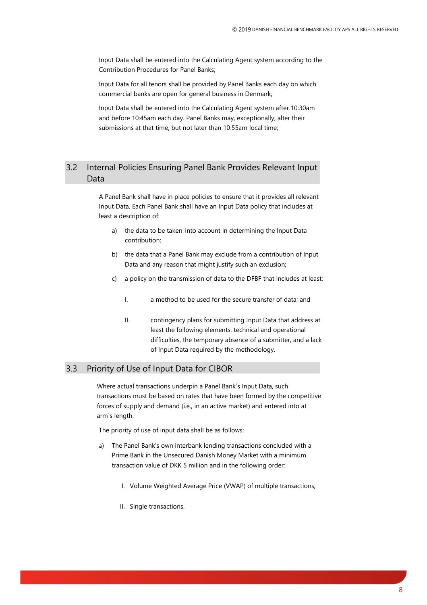Input Data shall be entered into the Calculating Agent system according to the Contribution Procedures for Panel Banks;

Input Data for all tenors shall be provided by Panel Banks each day on which commercial banks are open for general business in Denmark;

Input Data shall be entered into the Calculating Agent system after 10:30am and before 10:45am each day. Panel Banks may, exceptionally, alter their submissions at that time, but not later than 10:55am local time;

## <span id="page-7-0"></span>3.2 Internal Policies Ensuring Panel Bank Provides Relevant Input Data

A Panel Bank shall have in place policies to ensure that it provides all relevant Input Data. Each Panel Bank shall have an Input Data policy that includes at least a description of:

- a) the data to be taken-into account in determining the Input Data contribution;
- b) the data that a Panel Bank may exclude from a contribution of Input Data and any reason that might justify such an exclusion;
- c) a policy on the transmission of data to the DFBF that includes at least:
	- I. a method to be used for the secure transfer of data; and
	- II. contingency plans for submitting Input Data that address at least the following elements: technical and operational difficulties, the temporary absence of a submitter, and a lack of Input Data required by the methodology.

### <span id="page-7-1"></span>3.3 Priority of Use of Input Data for CIBOR

Where actual transactions underpin a Panel Bank`s Input Data, such transactions must be based on rates that have been formed by the competitive forces of supply and demand (i.e., in an active market) and entered into at arm`s length.

The priority of use of input data shall be as follows:

- The Panel Bank's own interbank lending transactions concluded with a Prime Bank in the Unsecured Danish Money Market with a minimum transaction value of DKK 5 million and in the following order:
	- I. Volume Weighted Average Price (VWAP) of multiple transactions;
	- II. Single transactions.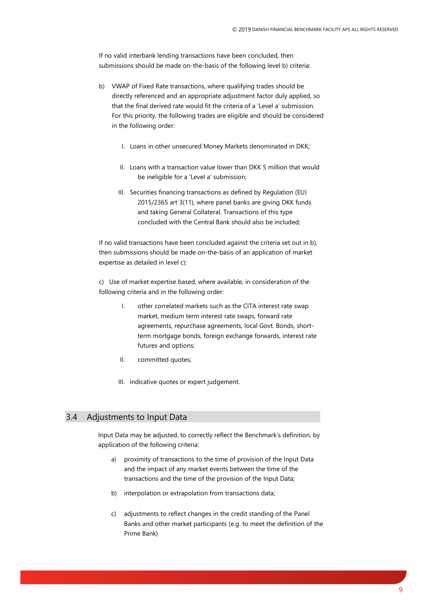If no valid interbank lending transactions have been concluded, then submissions should be made on-the-basis of the following level b) criteria:

- b) VWAP of Fixed Rate transactions, where qualifying trades should be directly referenced and an appropriate adjustment factor duly applied, so that the final derived rate would fit the criteria of a 'Level a' submission. For this priority, the following trades are eligible and should be considered in the following order:
	- I. Loans in other unsecured Money Markets denominated in DKK;
	- II. Loans with a transaction value lower than DKK 5 million that would be ineligible for a 'Level a' submission;
	- III. Securities financing transactions as defined by Regulation (EU) 2015/2365 art 3(11), where panel banks are giving DKK funds and taking General Collateral. Transactions of this type concluded with the Central Bank should also be included;

If no valid transactions have been concluded against the criteria set out in b), then submissions should be made on-the-basis of an application of market expertise as detailed in level c):

c) Use of market expertise based, where available, in consideration of the following criteria and in the following order:

- I. other correlated markets such as the CITA interest rate swap market, medium term interest rate swaps, forward rate agreements, repurchase agreements, local Govt. Bonds, shortterm mortgage bonds, foreign exchange forwards, interest rate futures and options;
- II. committed quotes;
- III. indicative quotes or expert judgement.

#### <span id="page-8-0"></span>3.4 Adjustments to Input Data

Input Data may be adjusted, to correctly reflect the Benchmark's definition, by application of the following criteria:

- a) proximity of transactions to the time of provision of the Input Data and the impact of any market events between the time of the transactions and the time of the provision of the Input Data;
- b) interpolation or extrapolation from transactions data;
- c) adjustments to reflect changes in the credit standing of the Panel Banks and other market participants (e.g. to meet the definition of the Prime Bank)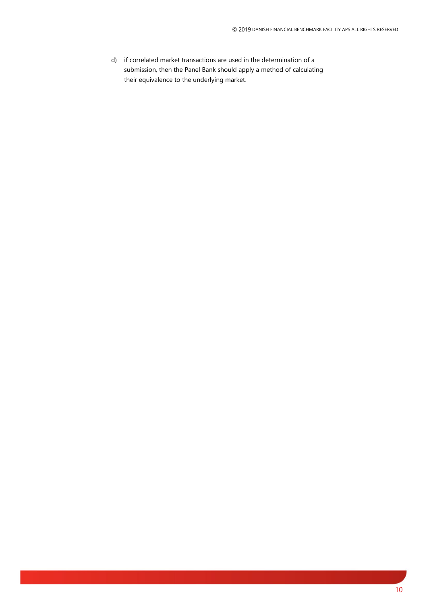d) if correlated market transactions are used in the determination of a submission, then the Panel Bank should apply a method of calculating their equivalence to the underlying market.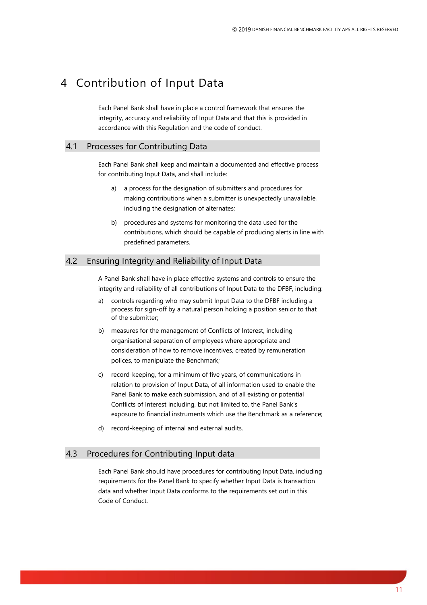## <span id="page-10-0"></span>4 Contribution of Input Data

Each Panel Bank shall have in place a control framework that ensures the integrity, accuracy and reliability of Input Data and that this is provided in accordance with this Regulation and the code of conduct.

#### <span id="page-10-1"></span>4.1 Processes for Contributing Data

Each Panel Bank shall keep and maintain a documented and effective process for contributing Input Data, and shall include:

- a) a process for the designation of submitters and procedures for making contributions when a submitter is unexpectedly unavailable, including the designation of alternates;
- b) procedures and systems for monitoring the data used for the contributions, which should be capable of producing alerts in line with predefined parameters.

### <span id="page-10-2"></span>4.2 Ensuring Integrity and Reliability of Input Data

A Panel Bank shall have in place effective systems and controls to ensure the integrity and reliability of all contributions of Input Data to the DFBF, including:

- a) controls regarding who may submit Input Data to the DFBF including a process for sign-off by a natural person holding a position senior to that of the submitter;
- b) measures for the management of Conflicts of Interest, including organisational separation of employees where appropriate and consideration of how to remove incentives, created by remuneration polices, to manipulate the Benchmark;
- c) record-keeping, for a minimum of five years, of communications in relation to provision of Input Data, of all information used to enable the Panel Bank to make each submission, and of all existing or potential Conflicts of Interest including, but not limited to, the Panel Bank's exposure to financial instruments which use the Benchmark as a reference;
- d) record-keeping of internal and external audits.

## <span id="page-10-3"></span>4.3 Procedures for Contributing Input data

Each Panel Bank should have procedures for contributing Input Data, including requirements for the Panel Bank to specify whether Input Data is transaction data and whether Input Data conforms to the requirements set out in this Code of Conduct.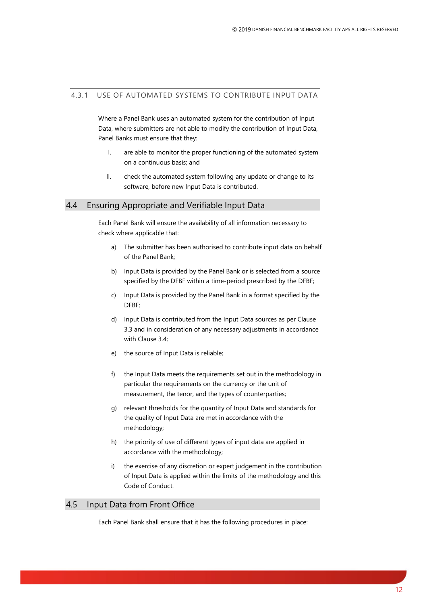#### <span id="page-11-0"></span>4.3.1 USE OF AUTOMATED SYSTEMS TO CONTRIBUTE INPUT DATA

Where a Panel Bank uses an automated system for the contribution of Input Data, where submitters are not able to modify the contribution of Input Data, Panel Banks must ensure that they:

- I. are able to monitor the proper functioning of the automated system on a continuous basis; and
- II. check the automated system following any update or change to its software, before new Input Data is contributed.

#### <span id="page-11-1"></span>4.4 Ensuring Appropriate and Verifiable Input Data

Each Panel Bank will ensure the availability of all information necessary to check where applicable that:

- a) The submitter has been authorised to contribute input data on behalf of the Panel Bank;
- b) Input Data is provided by the Panel Bank or is selected from a source specified by the DFBF within a time-period prescribed by the DFBF;
- c) Input Data is provided by the Panel Bank in a format specified by the DFBF;
- d) Input Data is contributed from the Input Data sources as per Clause 3.3 and in consideration of any necessary adjustments in accordance with Clause 3.4;
- e) the source of Input Data is reliable;
- f) the Input Data meets the requirements set out in the methodology in particular the requirements on the currency or the unit of measurement, the tenor, and the types of counterparties;
- g) relevant thresholds for the quantity of Input Data and standards for the quality of Input Data are met in accordance with the methodology;
- h) the priority of use of different types of input data are applied in accordance with the methodology;
- i) the exercise of any discretion or expert judgement in the contribution of Input Data is applied within the limits of the methodology and this Code of Conduct.

#### <span id="page-11-2"></span>4.5 Input Data from Front Office

Each Panel Bank shall ensure that it has the following procedures in place: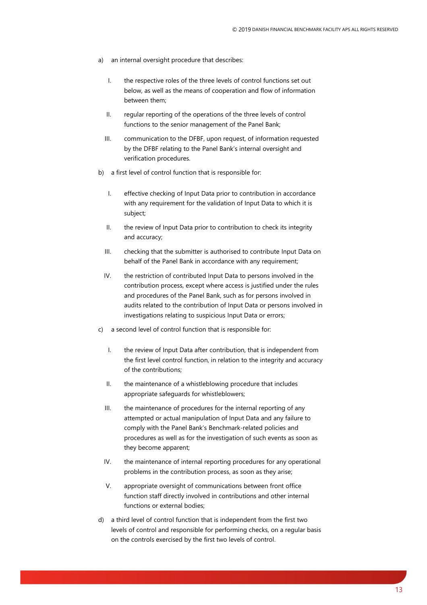- a) an internal oversight procedure that describes:
	- I. the respective roles of the three levels of control functions set out below, as well as the means of cooperation and flow of information between them;
	- II. regular reporting of the operations of the three levels of control functions to the senior management of the Panel Bank;
	- III. communication to the DFBF, upon request, of information requested by the DFBF relating to the Panel Bank's internal oversight and verification procedures.
- b) a first level of control function that is responsible for:
	- I. effective checking of Input Data prior to contribution in accordance with any requirement for the validation of Input Data to which it is subject;
	- II. the review of Input Data prior to contribution to check its integrity and accuracy;
	- III. checking that the submitter is authorised to contribute Input Data on behalf of the Panel Bank in accordance with any requirement;
	- IV. the restriction of contributed Input Data to persons involved in the contribution process, except where access is justified under the rules and procedures of the Panel Bank, such as for persons involved in audits related to the contribution of Input Data or persons involved in investigations relating to suspicious Input Data or errors;
- c) a second level of control function that is responsible for:
	- I. the review of Input Data after contribution, that is independent from the first level control function, in relation to the integrity and accuracy of the contributions;
	- II. the maintenance of a whistleblowing procedure that includes appropriate safeguards for whistleblowers;
	- III. the maintenance of procedures for the internal reporting of any attempted or actual manipulation of Input Data and any failure to comply with the Panel Bank's Benchmark-related policies and procedures as well as for the investigation of such events as soon as they become apparent;
	- IV. the maintenance of internal reporting procedures for any operational problems in the contribution process, as soon as they arise;
	- V. appropriate oversight of communications between front office function staff directly involved in contributions and other internal functions or external bodies;
- d) a third level of control function that is independent from the first two levels of control and responsible for performing checks, on a regular basis on the controls exercised by the first two levels of control.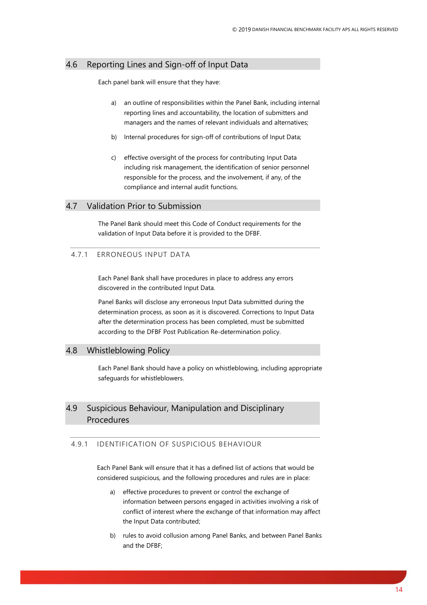#### <span id="page-13-0"></span>4.6 Reporting Lines and Sign-off of Input Data

Each panel bank will ensure that they have:

- a) an outline of responsibilities within the Panel Bank, including internal reporting lines and accountability, the location of submitters and managers and the names of relevant individuals and alternatives;
- b) Internal procedures for sign-off of contributions of Input Data;
- c) effective oversight of the process for contributing Input Data including risk management, the identification of senior personnel responsible for the process, and the involvement, if any, of the compliance and internal audit functions.

#### <span id="page-13-1"></span>4.7 Validation Prior to Submission

The Panel Bank should meet this Code of Conduct requirements for the validation of Input Data before it is provided to the DFBF.

#### <span id="page-13-2"></span>4.7.1 ERRONEOUS INPUT DATA

Each Panel Bank shall have procedures in place to address any errors discovered in the contributed Input Data.

Panel Banks will disclose any erroneous Input Data submitted during the determination process, as soon as it is discovered. Corrections to Input Data after the determination process has been completed, must be submitted according to the DFBF Post Publication Re-determination policy.

### <span id="page-13-3"></span>4.8 Whistleblowing Policy

Each Panel Bank should have a policy on whistleblowing, including appropriate safeguards for whistleblowers.

## <span id="page-13-4"></span>4.9 Suspicious Behaviour, Manipulation and Disciplinary Procedures

### <span id="page-13-5"></span>4.9.1 IDENTIFICATION OF SUSPICIOUS BEHAVIOUR

Each Panel Bank will ensure that it has a defined list of actions that would be considered suspicious, and the following procedures and rules are in place:

- a) effective procedures to prevent or control the exchange of information between persons engaged in activities involving a risk of conflict of interest where the exchange of that information may affect the Input Data contributed;
- b) rules to avoid collusion among Panel Banks, and between Panel Banks and the DFBF;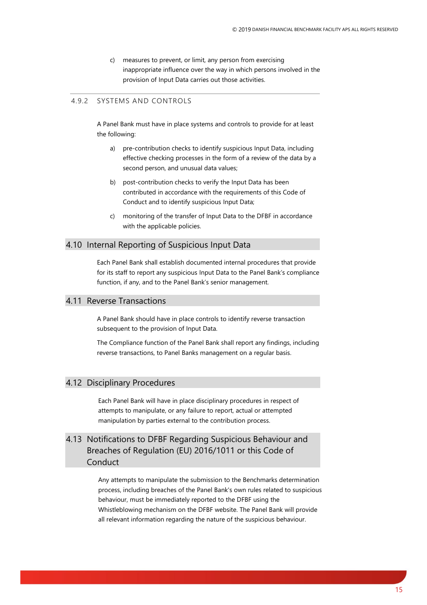c) measures to prevent, or limit, any person from exercising inappropriate influence over the way in which persons involved in the provision of Input Data carries out those activities.

#### <span id="page-14-0"></span>4.9.2 SYSTEMS AND CONTROLS

A Panel Bank must have in place systems and controls to provide for at least the following:

- a) pre-contribution checks to identify suspicious Input Data, including effective checking processes in the form of a review of the data by a second person, and unusual data values;
- b) post-contribution checks to verify the Input Data has been contributed in accordance with the requirements of this Code of Conduct and to identify suspicious Input Data;
- c) monitoring of the transfer of Input Data to the DFBF in accordance with the applicable policies.

### <span id="page-14-1"></span>4.10 Internal Reporting of Suspicious Input Data

Each Panel Bank shall establish documented internal procedures that provide for its staff to report any suspicious Input Data to the Panel Bank's compliance function, if any, and to the Panel Bank's senior management.

#### <span id="page-14-2"></span>4.11 Reverse Transactions

A Panel Bank should have in place controls to identify reverse transaction subsequent to the provision of Input Data.

The Compliance function of the Panel Bank shall report any findings, including reverse transactions, to Panel Banks management on a regular basis.

### <span id="page-14-3"></span>4.12 Disciplinary Procedures

Each Panel Bank will have in place disciplinary procedures in respect of attempts to manipulate, or any failure to report, actual or attempted manipulation by parties external to the contribution process.

## <span id="page-14-4"></span>4.13 Notifications to DFBF Regarding Suspicious Behaviour and Breaches of Regulation (EU) 2016/1011 or this Code of Conduct

Any attempts to manipulate the submission to the Benchmarks determination process, including breaches of the Panel Bank's own rules related to suspicious behaviour, must be immediately reported to the DFBF using the Whistleblowing mechanism on the DFBF website. The Panel Bank will provide all relevant information regarding the nature of the suspicious behaviour.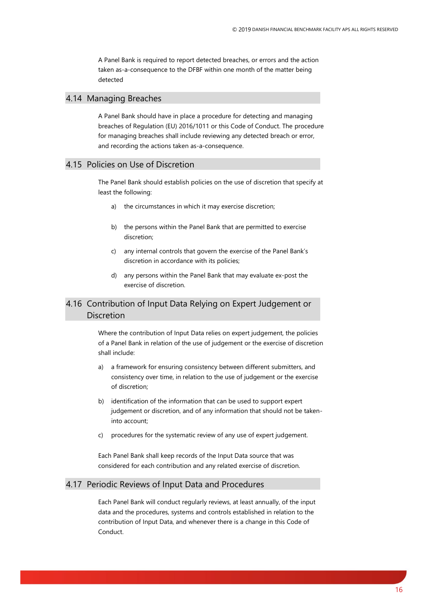A Panel Bank is required to report detected breaches, or errors and the action taken as-a-consequence to the DFBF within one month of the matter being detected

#### <span id="page-15-0"></span>4.14 Managing Breaches

A Panel Bank should have in place a procedure for detecting and managing breaches of Regulation (EU) 2016/1011 or this Code of Conduct. The procedure for managing breaches shall include reviewing any detected breach or error, and recording the actions taken as-a-consequence.

### <span id="page-15-1"></span>4.15 Policies on Use of Discretion

The Panel Bank should establish policies on the use of discretion that specify at least the following:

- a) the circumstances in which it may exercise discretion;
- b) the persons within the Panel Bank that are permitted to exercise discretion;
- c) any internal controls that govern the exercise of the Panel Bank's discretion in accordance with its policies;
- d) any persons within the Panel Bank that may evaluate ex-post the exercise of discretion.

## <span id="page-15-2"></span>4.16 Contribution of Input Data Relying on Expert Judgement or **Discretion**

Where the contribution of Input Data relies on expert judgement, the policies of a Panel Bank in relation of the use of judgement or the exercise of discretion shall include:

- a) a framework for ensuring consistency between different submitters, and consistency over time, in relation to the use of judgement or the exercise of discretion;
- b) identification of the information that can be used to support expert judgement or discretion, and of any information that should not be takeninto account;
- procedures for the systematic review of any use of expert judgement.

Each Panel Bank shall keep records of the Input Data source that was considered for each contribution and any related exercise of discretion.

#### <span id="page-15-3"></span>4.17 Periodic Reviews of Input Data and Procedures

Each Panel Bank will conduct regularly reviews, at least annually, of the input data and the procedures, systems and controls established in relation to the contribution of Input Data, and whenever there is a change in this Code of Conduct.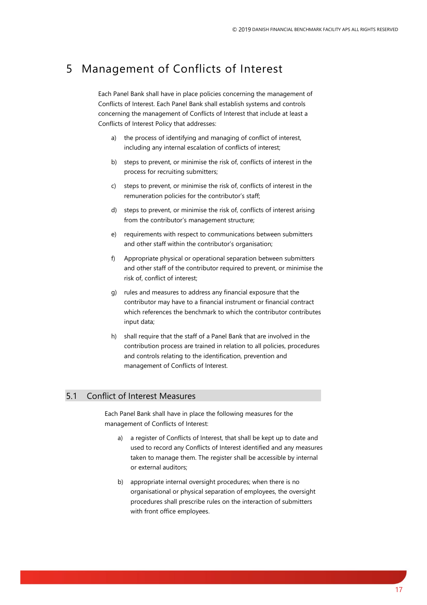## <span id="page-16-0"></span>5 Management of Conflicts of Interest

Each Panel Bank shall have in place policies concerning the management of Conflicts of Interest. Each Panel Bank shall establish systems and controls concerning the management of Conflicts of Interest that include at least a Conflicts of Interest Policy that addresses:

- a) the process of identifying and managing of conflict of interest, including any internal escalation of conflicts of interest;
- b) steps to prevent, or minimise the risk of, conflicts of interest in the process for recruiting submitters;
- c) steps to prevent, or minimise the risk of, conflicts of interest in the remuneration policies for the contributor's staff;
- d) steps to prevent, or minimise the risk of, conflicts of interest arising from the contributor's management structure;
- e) requirements with respect to communications between submitters and other staff within the contributor's organisation;
- f) Appropriate physical or operational separation between submitters and other staff of the contributor required to prevent, or minimise the risk of, conflict of interest;
- g) rules and measures to address any financial exposure that the contributor may have to a financial instrument or financial contract which references the benchmark to which the contributor contributes input data;
- h) shall require that the staff of a Panel Bank that are involved in the contribution process are trained in relation to all policies, procedures and controls relating to the identification, prevention and management of Conflicts of Interest.

#### <span id="page-16-1"></span>5.1 Conflict of Interest Measures

Each Panel Bank shall have in place the following measures for the management of Conflicts of Interest:

- a) a register of Conflicts of Interest, that shall be kept up to date and used to record any Conflicts of Interest identified and any measures taken to manage them. The register shall be accessible by internal or external auditors;
- b) appropriate internal oversight procedures; when there is no organisational or physical separation of employees, the oversight procedures shall prescribe rules on the interaction of submitters with front office employees.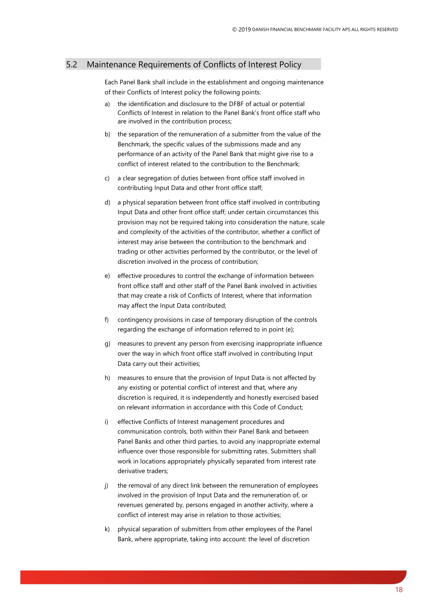#### <span id="page-17-0"></span>5.2 Maintenance Requirements of Conflicts of Interest Policy

Each Panel Bank shall include in the establishment and ongoing maintenance of their Conflicts of Interest policy the following points:

- a) the identification and disclosure to the DFBF of actual or potential Conflicts of Interest in relation to the Panel Bank's front office staff who are involved in the contribution process;
- b) the separation of the remuneration of a submitter from the value of the Benchmark, the specific values of the submissions made and any performance of an activity of the Panel Bank that might give rise to a conflict of interest related to the contribution to the Benchmark;
- c) a clear segregation of duties between front office staff involved in contributing Input Data and other front office staff;
- d) a physical separation between front office staff involved in contributing Input Data and other front office staff; under certain circumstances this provision may not be required taking into consideration the nature, scale and complexity of the activities of the contributor, whether a conflict of interest may arise between the contribution to the benchmark and trading or other activities performed by the contributor, or the level of discretion involved in the process of contribution;
- e) effective procedures to control the exchange of information between front office staff and other staff of the Panel Bank involved in activities that may create a risk of Conflicts of Interest, where that information may affect the Input Data contributed;
- f) contingency provisions in case of temporary disruption of the controls regarding the exchange of information referred to in point (e);
- g) measures to prevent any person from exercising inappropriate influence over the way in which front office staff involved in contributing Input Data carry out their activities;
- h) measures to ensure that the provision of Input Data is not affected by any existing or potential conflict of interest and that, where any discretion is required, it is independently and honestly exercised based on relevant information in accordance with this Code of Conduct;
- i) effective Conflicts of Interest management procedures and communication controls, both within their Panel Bank and between Panel Banks and other third parties, to avoid any inappropriate external influence over those responsible for submitting rates. Submitters shall work in locations appropriately physically separated from interest rate derivative traders;
- j) the removal of any direct link between the remuneration of employees involved in the provision of Input Data and the remuneration of, or revenues generated by, persons engaged in another activity, where a conflict of interest may arise in relation to those activities;
- k) physical separation of submitters from other employees of the Panel Bank, where appropriate, taking into account: the level of discretion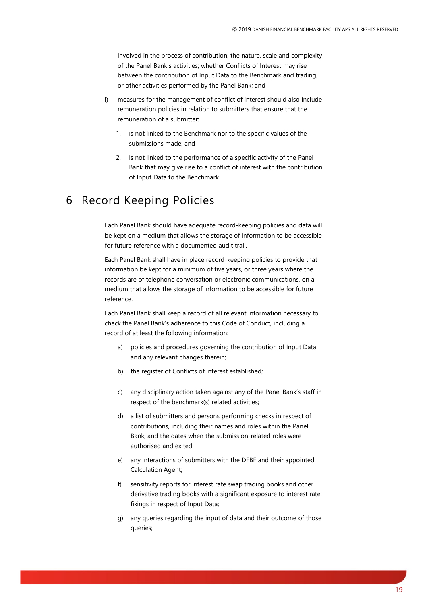involved in the process of contribution; the nature, scale and complexity of the Panel Bank's activities; whether Conflicts of Interest may rise between the contribution of Input Data to the Benchmark and trading, or other activities performed by the Panel Bank; and

- l) measures for the management of conflict of interest should also include remuneration policies in relation to submitters that ensure that the remuneration of a submitter:
	- 1. is not linked to the Benchmark nor to the specific values of the submissions made; and
	- 2. is not linked to the performance of a specific activity of the Panel Bank that may give rise to a conflict of interest with the contribution of Input Data to the Benchmark

## <span id="page-18-0"></span>6 Record Keeping Policies

Each Panel Bank should have adequate record-keeping policies and data will be kept on a medium that allows the storage of information to be accessible for future reference with a documented audit trail.

Each Panel Bank shall have in place record-keeping policies to provide that information be kept for a minimum of five years, or three years where the records are of telephone conversation or electronic communications, on a medium that allows the storage of information to be accessible for future reference.

Each Panel Bank shall keep a record of all relevant information necessary to check the Panel Bank's adherence to this Code of Conduct, including a record of at least the following information:

- a) policies and procedures governing the contribution of Input Data and any relevant changes therein;
- b) the register of Conflicts of Interest established;
- c) any disciplinary action taken against any of the Panel Bank's staff in respect of the benchmark(s) related activities;
- d) a list of submitters and persons performing checks in respect of contributions, including their names and roles within the Panel Bank, and the dates when the submission-related roles were authorised and exited;
- e) any interactions of submitters with the DFBF and their appointed Calculation Agent;
- f) sensitivity reports for interest rate swap trading books and other derivative trading books with a significant exposure to interest rate fixings in respect of Input Data;
- g) any queries regarding the input of data and their outcome of those queries;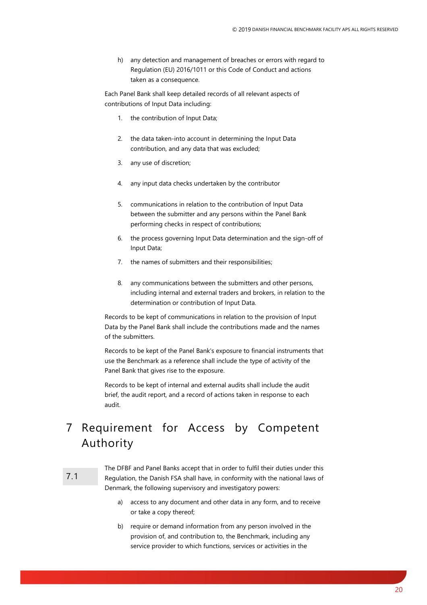h) any detection and management of breaches or errors with regard to Regulation (EU) 2016/1011 or this Code of Conduct and actions taken as a consequence.

Each Panel Bank shall keep detailed records of all relevant aspects of contributions of Input Data including:

- 1. the contribution of Input Data;
- 2. the data taken-into account in determining the Input Data contribution, and any data that was excluded;
- 3. any use of discretion;
- 4. any input data checks undertaken by the contributor
- 5. communications in relation to the contribution of Input Data between the submitter and any persons within the Panel Bank performing checks in respect of contributions;
- 6. the process governing Input Data determination and the sign-off of Input Data;
- 7. the names of submitters and their responsibilities;
- 8. any communications between the submitters and other persons, including internal and external traders and brokers, in relation to the determination or contribution of Input Data.

Records to be kept of communications in relation to the provision of Input Data by the Panel Bank shall include the contributions made and the names of the submitters.

Records to be kept of the Panel Bank's exposure to financial instruments that use the Benchmark as a reference shall include the type of activity of the Panel Bank that gives rise to the exposure.

Records to be kept of internal and external audits shall include the audit brief, the audit report, and a record of actions taken in response to each audit.

# <span id="page-19-0"></span>7 Requirement for Access by Competent Authority

#### 7.1

The DFBF and Panel Banks accept that in order to fulfil their duties under this Regulation, the Danish FSA shall have, in conformity with the national laws of Denmark, the following supervisory and investigatory powers:

- a) access to any document and other data in any form, and to receive or take a copy thereof;
- b) require or demand information from any person involved in the provision of, and contribution to, the Benchmark, including any service provider to which functions, services or activities in the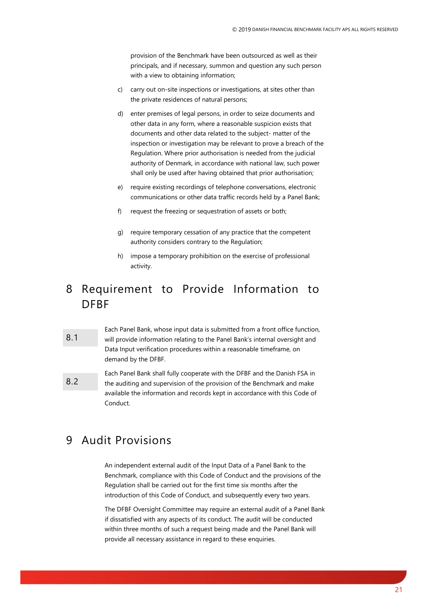provision of the Benchmark have been outsourced as well as their principals, and if necessary, summon and question any such person with a view to obtaining information;

- c) carry out on-site inspections or investigations, at sites other than the private residences of natural persons;
- d) enter premises of legal persons, in order to seize documents and other data in any form, where a reasonable suspicion exists that documents and other data related to the subject- matter of the inspection or investigation may be relevant to prove a breach of the Regulation. Where prior authorisation is needed from the judicial authority of Denmark, in accordance with national law, such power shall only be used after having obtained that prior authorisation;
- e) require existing recordings of telephone conversations, electronic communications or other data traffic records held by a Panel Bank;
- f) request the freezing or sequestration of assets or both;
- g) require temporary cessation of any practice that the competent authority considers contrary to the Regulation;
- h) impose a temporary prohibition on the exercise of professional activity.

## <span id="page-20-0"></span>8 Requirement to Provide Information to DFBF

- 8.1 Each Panel Bank, whose input data is submitted from a front office function, will provide information relating to the Panel Bank's internal oversight and Data Input verification procedures within a reasonable timeframe, on demand by the DFBF.
- 8.2 Each Panel Bank shall fully cooperate with the DFBF and the Danish FSA in the auditing and supervision of the provision of the Benchmark and make available the information and records kept in accordance with this Code of Conduct.

## <span id="page-20-1"></span>9 Audit Provisions

An independent external audit of the Input Data of a Panel Bank to the Benchmark, compliance with this Code of Conduct and the provisions of the Regulation shall be carried out for the first time six months after the introduction of this Code of Conduct, and subsequently every two years.

The DFBF Oversight Committee may require an external audit of a Panel Bank if dissatisfied with any aspects of its conduct. The audit will be conducted within three months of such a request being made and the Panel Bank will provide all necessary assistance in regard to these enquiries.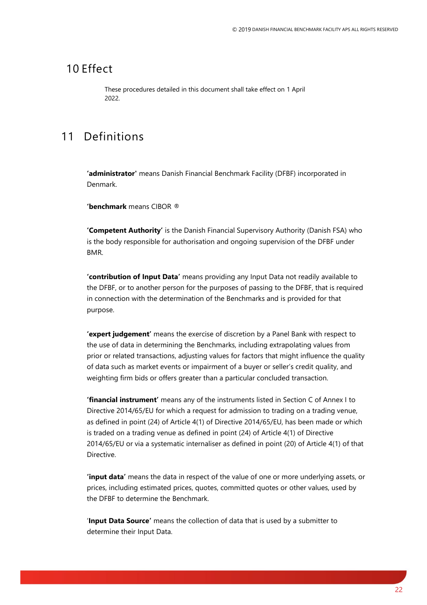## <span id="page-21-0"></span>10 Effect

These procedures detailed in this document shall take effect on 1 April 2022.

## <span id="page-21-1"></span>11 Definitions

**'administrator'** means Danish Financial Benchmark Facility (DFBF) incorporated in Denmark.

**'benchmark** means CIBOR ®

**'Competent Authority'** is the Danish Financial Supervisory Authority (Danish FSA) who is the body responsible for authorisation and ongoing supervision of the DFBF under BMR.

**'contribution of Input Data'** means providing any Input Data not readily available to the DFBF, or to another person for the purposes of passing to the DFBF, that is required in connection with the determination of the Benchmarks and is provided for that purpose.

**'expert judgement'** means the exercise of discretion by a Panel Bank with respect to the use of data in determining the Benchmarks, including extrapolating values from prior or related transactions, adjusting values for factors that might influence the quality of data such as market events or impairment of a buyer or seller's credit quality, and weighting firm bids or offers greater than a particular concluded transaction.

**'financial instrument'** means any of the instruments listed in Section C of Annex I to Directive 2014/65/EU for which a request for admission to trading on a trading venue, as defined in point (24) of Article 4(1) of Directive 2014/65/EU, has been made or which is traded on a trading venue as defined in point (24) of Article 4(1) of Directive 2014/65/EU or via a systematic internaliser as defined in point (20) of Article 4(1) of that Directive.

**'input data'** means the data in respect of the value of one or more underlying assets, or prices, including estimated prices, quotes, committed quotes or other values, used by the DFBF to determine the Benchmark.

'**Input Data Source'** means the collection of data that is used by a submitter to determine their Input Data.